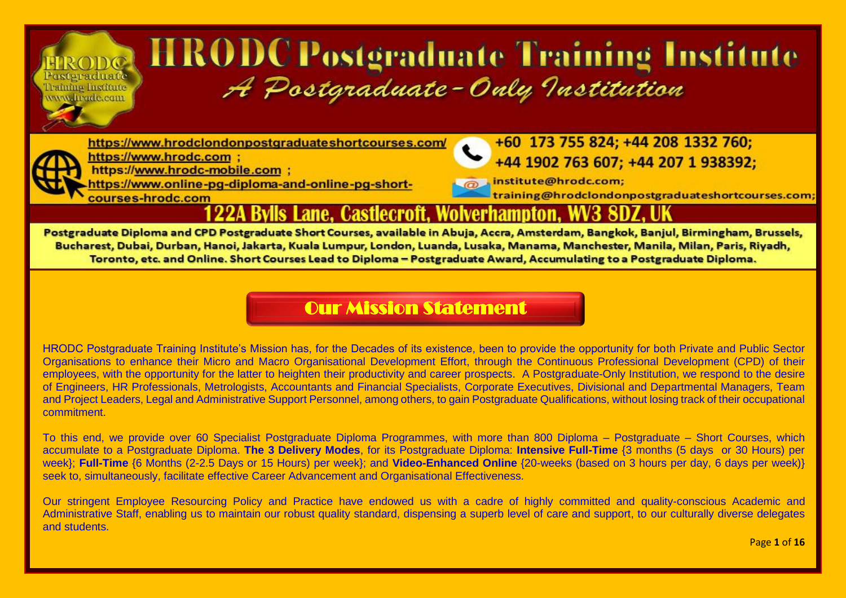# **HRODCPostgraduate Training Institute** A Postgraduate-Only Institution

https://www.hrodclondonpostgraduateshortcourses.com/



Posteraduate

Training Institute www.hrade.com

> https://www.hrodc.com : https://www.hrodc-mobile.com ;

courses-hrodc.com

https://www.online-pg-diploma-and-online-pg-short-

+60 173 755 824; +44 208 1332 760; +44 1902 763 607: +44 207 1 938392:

.institute@hrodc.com; training@hrodclondonpostgraduateshortcourses.com

#### Lane. Castlecroft. Wolverhampton.

Postgraduate Diploma and CPD Postgraduate Short Courses, available in Abuja, Accra, Amsterdam, Bangkok, Banjul, Birmingham, Brussels, Bucharest, Dubai, Durban, Hanoi, Jakarta, Kuala Lumpur, London, Luanda, Lusaka, Manama, Manchester, Manila, Milan, Paris, Riyadh, Toronto, etc. and Online. Short Courses Lead to Diploma - Postgraduate Award, Accumulating to a Postgraduate Diploma.

#### [Our Mission Statement](https://www.hrodc.com/Students_Delegates_Comments_Postgraduate_Diploma_Programmes_Short_Courses_HRODC_Postgraduate_Training_Institute_A_Postgraduate_Only_Institution_London.htm)

HRODC Postgraduate Training Institute's Mission has, for the Decades of its existence, been to provide the opportunity for both Private and Public Sector Organisations to enhance their Micro and Macro Organisational Development Effort, through the Continuous Professional Development (CPD) of their employees, with the opportunity for the latter to heighten their productivity and career prospects. A Postgraduate-Only Institution, we respond to the desire of Engineers, HR Professionals, Metrologists, Accountants and Financial Specialists, Corporate Executives, Divisional and Departmental Managers, Team and Project Leaders, Legal and Administrative Support Personnel, among others, to gain Postgraduate Qualifications, without losing track of their occupational commitment.

To this end, we provide over 60 Specialist Postgraduate Diploma Programmes, with more than 800 Diploma – Postgraduate – Short Courses, which accumulate to a Postgraduate Diploma. **The 3 Delivery Modes**, for its Postgraduate Diploma: **Intensive Full-Time** {3 months (5 days or 30 Hours) per week}; **Full-Time** {6 Months (2-2.5 Days or 15 Hours) per week}; and **Video-Enhanced Online** {20-weeks (based on 3 hours per day, 6 days per week)} seek to, simultaneously, facilitate effective Career Advancement and Organisational Effectiveness.

Our stringent Employee Resourcing Policy and Practice have endowed us with a cadre of highly committed and quality-conscious Academic and Administrative Staff, enabling us to maintain our robust quality standard, dispensing a superb level of care and support, to our culturally diverse delegates and students.

Page **1** of **16**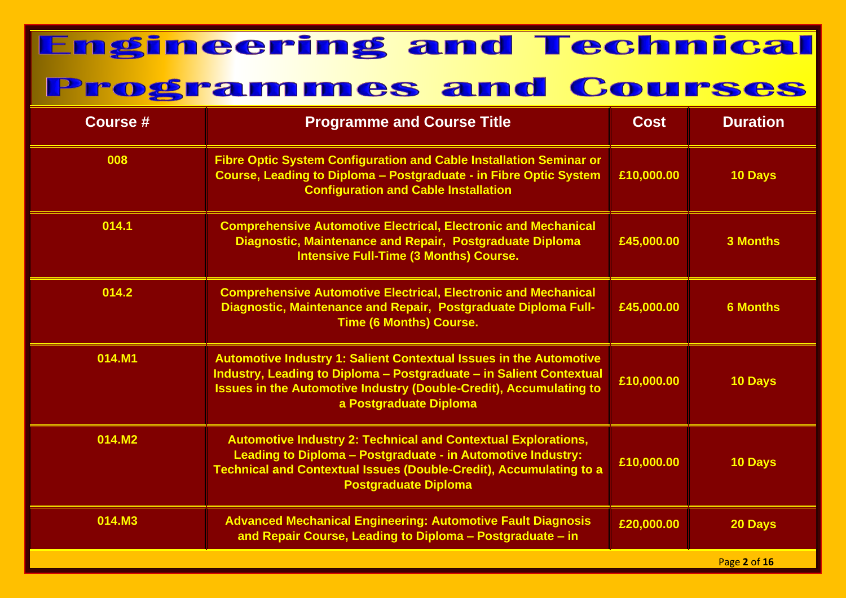| <b>Course #</b> | <b>Programme and Course Title</b>                                                                                                                                                                                                                | <b>Cost</b> | <b>Duration</b> |
|-----------------|--------------------------------------------------------------------------------------------------------------------------------------------------------------------------------------------------------------------------------------------------|-------------|-----------------|
| 008             | Fibre Optic System Configuration and Cable Installation Seminar or<br>Course, Leading to Diploma - Postgraduate - in Fibre Optic System<br><b>Configuration and Cable Installation</b>                                                           | £10,000.00  | <b>10 Days</b>  |
| 014.1           | <b>Comprehensive Automotive Electrical, Electronic and Mechanical</b><br>Diagnostic, Maintenance and Repair, Postgraduate Diploma<br><b>Intensive Full-Time (3 Months) Course.</b>                                                               | £45,000.00  | <b>3 Months</b> |
| 014.2           | <b>Comprehensive Automotive Electrical, Electronic and Mechanical</b><br>Diagnostic, Maintenance and Repair, Postgraduate Diploma Full-<br><b>Time (6 Months) Course.</b>                                                                        | £45,000.00  | <b>6 Months</b> |
| 014.M1          | Automotive Industry 1: Salient Contextual Issues in the Automotive<br>Industry, Leading to Diploma - Postgraduate - in Salient Contextual<br><b>Issues in the Automotive Industry (Double-Credit), Accumulating to</b><br>a Postgraduate Diploma | £10,000.00  | 10 Days         |
| 014.M2          | <b>Automotive Industry 2: Technical and Contextual Explorations,</b><br>Leading to Diploma - Postgraduate - in Automotive Industry:<br><b>Technical and Contextual Issues (Double-Credit), Accumulating to a</b><br><b>Postgraduate Diploma</b>  | £10,000.00  | 10 Days         |
| 014.M3          | <b>Advanced Mechanical Engineering: Automotive Fault Diagnosis</b><br>and Repair Course, Leading to Diploma - Postgraduate - in                                                                                                                  | £20,000.00  | 20 Days         |
|                 |                                                                                                                                                                                                                                                  |             | Page 2 of 16    |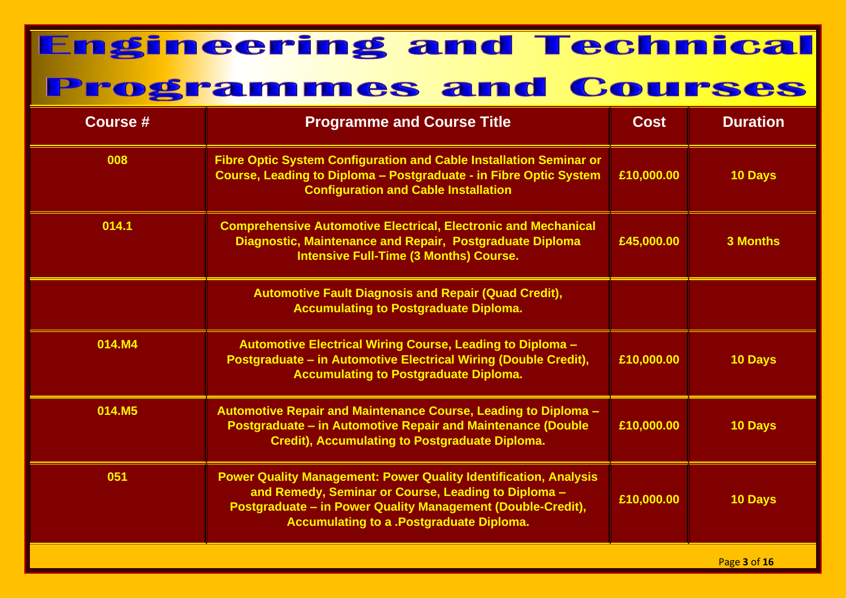| <b>Course #</b> | <b>Programme and Course Title</b>                                                                                                                                                                                                                | <b>Cost</b> | <b>Duration</b> |
|-----------------|--------------------------------------------------------------------------------------------------------------------------------------------------------------------------------------------------------------------------------------------------|-------------|-----------------|
| 008             | Fibre Optic System Configuration and Cable Installation Seminar or<br>Course, Leading to Diploma - Postgraduate - in Fibre Optic System<br><b>Configuration and Cable Installation</b>                                                           | £10,000.00  | 10 Days         |
| 014.1           | <b>Comprehensive Automotive Electrical, Electronic and Mechanical</b><br>Diagnostic, Maintenance and Repair, Postgraduate Diploma<br><b>Intensive Full-Time (3 Months) Course.</b>                                                               | £45,000.00  | <b>3 Months</b> |
|                 | <b>Automotive Fault Diagnosis and Repair (Quad Credit),</b><br><b>Accumulating to Postgraduate Diploma.</b>                                                                                                                                      |             |                 |
| 014.M4          | <b>Automotive Electrical Wiring Course, Leading to Diploma -</b><br>Postgraduate - in Automotive Electrical Wiring (Double Credit),<br><b>Accumulating to Postgraduate Diploma.</b>                                                              | £10,000.00  | <b>10 Days</b>  |
| 014.M5          | Automotive Repair and Maintenance Course, Leading to Diploma -<br><b>Postgraduate - in Automotive Repair and Maintenance (Double</b><br><b>Credit), Accumulating to Postgraduate Diploma.</b>                                                    | £10,000.00  | 10 Days         |
| 051             | <b>Power Quality Management: Power Quality Identification, Analysis</b><br>and Remedy, Seminar or Course, Leading to Diploma -<br>Postgraduate - in Power Quality Management (Double-Credit),<br><b>Accumulating to a .Postgraduate Diploma.</b> | £10,000.00  | 10 Days         |
|                 |                                                                                                                                                                                                                                                  |             | Page 3 of 16    |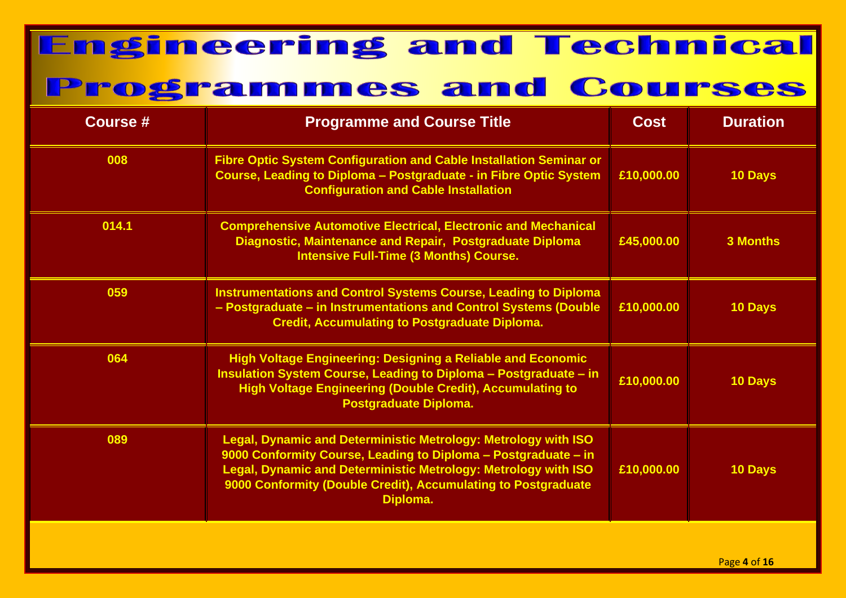| <b>Course #</b> | <b>Programme and Course Title</b>                                                                                                                                                                                                                                               | <b>Cost</b> | <b>Duration</b> |
|-----------------|---------------------------------------------------------------------------------------------------------------------------------------------------------------------------------------------------------------------------------------------------------------------------------|-------------|-----------------|
| 008             | <b>Fibre Optic System Configuration and Cable Installation Seminar or</b><br>Course, Leading to Diploma - Postgraduate - in Fibre Optic System<br><b>Configuration and Cable Installation</b>                                                                                   | £10,000.00  | 10 Days         |
| 014.1           | <b>Comprehensive Automotive Electrical, Electronic and Mechanical</b><br>Diagnostic, Maintenance and Repair, Postgraduate Diploma<br><b>Intensive Full-Time (3 Months) Course.</b>                                                                                              | £45,000.00  | <b>3 Months</b> |
| 059             | <b>Instrumentations and Control Systems Course, Leading to Diploma</b><br>- Postgraduate - in Instrumentations and Control Systems (Double<br><b>Credit, Accumulating to Postgraduate Diploma.</b>                                                                              | £10,000.00  | 10 Days         |
| 064             | <b>High Voltage Engineering: Designing a Reliable and Economic</b><br>Insulation System Course, Leading to Diploma - Postgraduate - in<br><b>High Voltage Engineering (Double Credit), Accumulating to</b><br><b>Postgraduate Diploma.</b>                                      | £10,000.00  | 10 Days         |
| 089             | Legal, Dynamic and Deterministic Metrology: Metrology with ISO<br>9000 Conformity Course, Leading to Diploma - Postgraduate - in<br>Legal, Dynamic and Deterministic Metrology: Metrology with ISO<br>9000 Conformity (Double Credit), Accumulating to Postgraduate<br>Diploma. | £10,000.00  | 10 Days         |
|                 |                                                                                                                                                                                                                                                                                 |             |                 |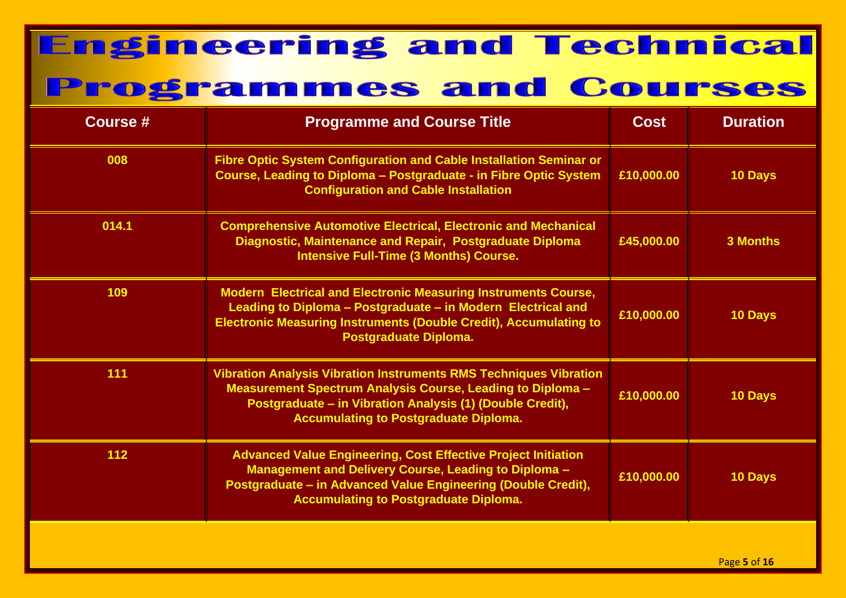| <b>Course #</b> | <b>Programme and Course Title</b>                                                                                                                                                                                                                          | <b>Cost</b> | <b>Duration</b> |
|-----------------|------------------------------------------------------------------------------------------------------------------------------------------------------------------------------------------------------------------------------------------------------------|-------------|-----------------|
| 008             | Fibre Optic System Configuration and Cable Installation Seminar or<br>Course, Leading to Diploma - Postgraduate - in Fibre Optic System<br><b>Configuration and Cable Installation</b>                                                                     | £10,000.00  | 10 Days         |
| 014.1           | <b>Comprehensive Automotive Electrical, Electronic and Mechanical</b><br>Diagnostic, Maintenance and Repair, Postgraduate Diploma<br><b>Intensive Full-Time (3 Months) Course.</b>                                                                         | £45,000.00  | <b>3 Months</b> |
| 109             | <b>Modern Electrical and Electronic Measuring Instruments Course,</b><br>Leading to Diploma - Postgraduate - in Modern Electrical and<br><b>Electronic Measuring Instruments (Double Credit), Accumulating to</b><br>Postgraduate Diploma.                 | £10,000.00  | <b>10 Days</b>  |
| 111             | <b>Vibration Analysis Vibration Instruments RMS Techniques Vibration</b><br><b>Measurement Spectrum Analysis Course, Leading to Diploma -</b><br>Postgraduate - in Vibration Analysis (1) (Double Credit),<br><b>Accumulating to Postgraduate Diploma.</b> | £10,000.00  | 10 Days         |
| $112$           | <b>Advanced Value Engineering, Cost Effective Project Initiation</b><br>Management and Delivery Course, Leading to Diploma -<br>Postgraduate - in Advanced Value Engineering (Double Credit),<br><b>Accumulating to Postgraduate Diploma.</b>              | £10,000.00  | <b>10 Days</b>  |
|                 |                                                                                                                                                                                                                                                            |             |                 |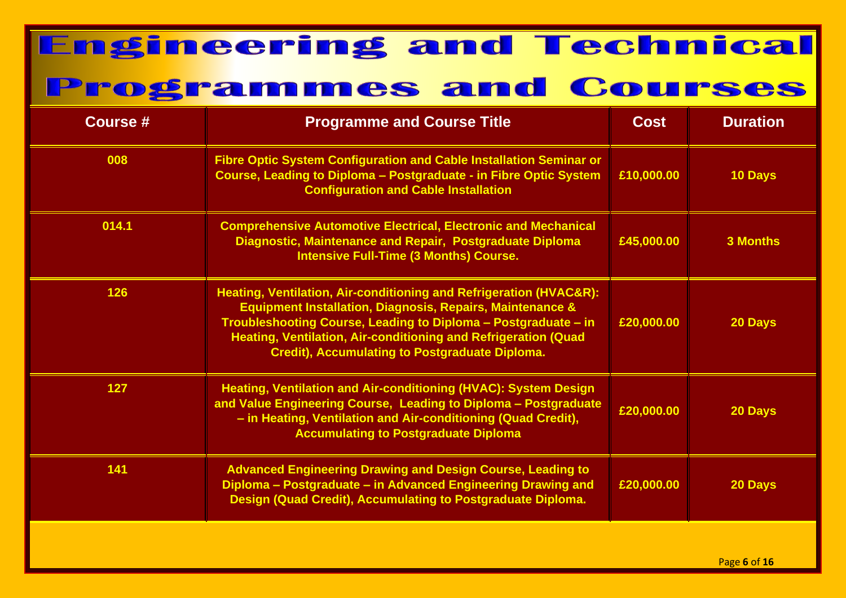| <b>Course #</b> | <b>Programme and Course Title</b>                                                                                                                                                                                                                                                                                                       | <b>Cost</b> | <b>Duration</b> |
|-----------------|-----------------------------------------------------------------------------------------------------------------------------------------------------------------------------------------------------------------------------------------------------------------------------------------------------------------------------------------|-------------|-----------------|
| 008             | Fibre Optic System Configuration and Cable Installation Seminar or<br>Course, Leading to Diploma - Postgraduate - in Fibre Optic System<br><b>Configuration and Cable Installation</b>                                                                                                                                                  | £10,000.00  | <b>10 Days</b>  |
| 014.1           | <b>Comprehensive Automotive Electrical, Electronic and Mechanical</b><br>Diagnostic, Maintenance and Repair, Postgraduate Diploma<br><b>Intensive Full-Time (3 Months) Course.</b>                                                                                                                                                      | £45,000.00  | <b>3 Months</b> |
| 126             | Heating, Ventilation, Air-conditioning and Refrigeration (HVAC&R):<br><b>Equipment Installation, Diagnosis, Repairs, Maintenance &amp;</b><br>Troubleshooting Course, Leading to Diploma - Postgraduate - in<br>Heating, Ventilation, Air-conditioning and Refrigeration (Quad<br><b>Credit), Accumulating to Postgraduate Diploma.</b> | £20,000.00  | 20 Days         |
| 127             | Heating, Ventilation and Air-conditioning (HVAC): System Design<br>and Value Engineering Course, Leading to Diploma - Postgraduate<br>- in Heating, Ventilation and Air-conditioning (Quad Credit),<br><b>Accumulating to Postgraduate Diploma</b>                                                                                      | £20,000.00  | 20 Days         |
| 141             | <b>Advanced Engineering Drawing and Design Course, Leading to</b><br>Diploma - Postgraduate - in Advanced Engineering Drawing and<br>Design (Quad Credit), Accumulating to Postgraduate Diploma.                                                                                                                                        | £20,000.00  | 20 Days         |
|                 |                                                                                                                                                                                                                                                                                                                                         |             |                 |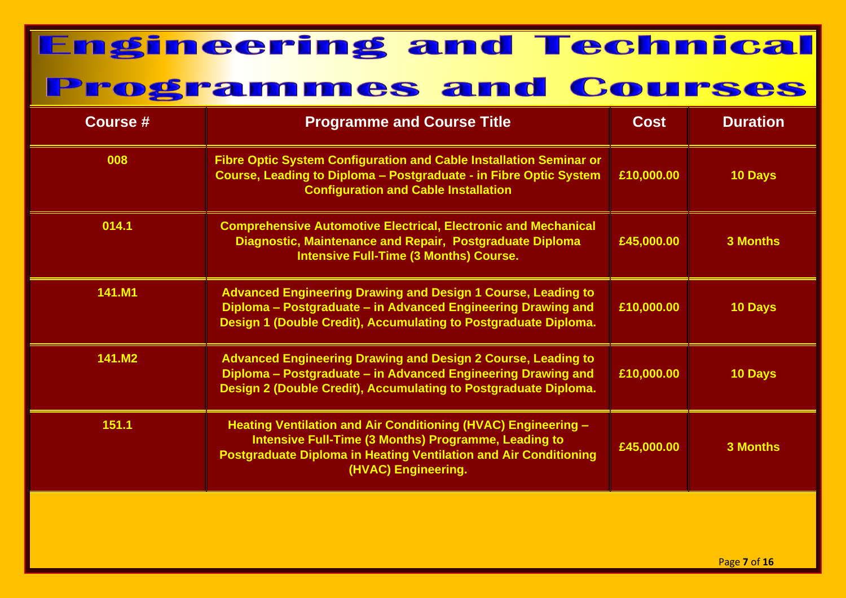| <b>Course #</b> | <b>Programme and Course Title</b>                                                                                                                                                                                              | <b>Cost</b> | <b>Duration</b> |
|-----------------|--------------------------------------------------------------------------------------------------------------------------------------------------------------------------------------------------------------------------------|-------------|-----------------|
| 008             | <b>Fibre Optic System Configuration and Cable Installation Seminar or</b><br>Course, Leading to Diploma - Postgraduate - in Fibre Optic System<br><b>Configuration and Cable Installation</b>                                  | £10,000.00  | 10 Days         |
| 014.1           | <b>Comprehensive Automotive Electrical, Electronic and Mechanical</b><br>Diagnostic, Maintenance and Repair, Postgraduate Diploma<br><b>Intensive Full-Time (3 Months) Course.</b>                                             | £45,000.00  | <b>3 Months</b> |
| 141.M1          | <b>Advanced Engineering Drawing and Design 1 Course, Leading to</b><br>Diploma - Postgraduate - in Advanced Engineering Drawing and<br>Design 1 (Double Credit), Accumulating to Postgraduate Diploma.                         | £10,000.00  | 10 Days         |
| 141.M2          | <b>Advanced Engineering Drawing and Design 2 Course, Leading to</b><br>Diploma - Postgraduate - in Advanced Engineering Drawing and<br>Design 2 (Double Credit), Accumulating to Postgraduate Diploma.                         | £10,000.00  | 10 Days         |
| 151.1           | Heating Ventilation and Air Conditioning (HVAC) Engineering -<br><b>Intensive Full-Time (3 Months) Programme, Leading to</b><br><b>Postgraduate Diploma in Heating Ventilation and Air Conditioning</b><br>(HVAC) Engineering. | £45,000.00  | <b>3 Months</b> |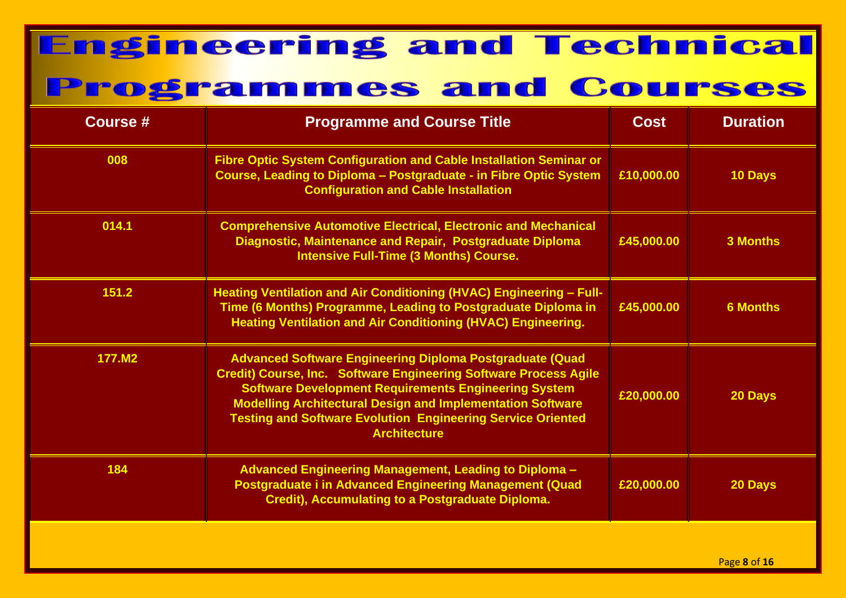| <b>Course #</b> | <b>Programme and Course Title</b>                                                                                                                                                                                                                                                                                                                                           | <b>Cost</b> | <b>Duration</b> |
|-----------------|-----------------------------------------------------------------------------------------------------------------------------------------------------------------------------------------------------------------------------------------------------------------------------------------------------------------------------------------------------------------------------|-------------|-----------------|
| 008             | <b>Fibre Optic System Configuration and Cable Installation Seminar or</b><br>Course, Leading to Diploma - Postgraduate - in Fibre Optic System<br><b>Configuration and Cable Installation</b>                                                                                                                                                                               | £10,000.00  | 10 Days         |
| 014.1           | <b>Comprehensive Automotive Electrical, Electronic and Mechanical</b><br>Diagnostic, Maintenance and Repair, Postgraduate Diploma<br><b>Intensive Full-Time (3 Months) Course.</b>                                                                                                                                                                                          | £45,000.00  | <b>3 Months</b> |
| 151.2           | Heating Ventilation and Air Conditioning (HVAC) Engineering - Full-<br>Time (6 Months) Programme, Leading to Postgraduate Diploma in<br><b>Heating Ventilation and Air Conditioning (HVAC) Engineering.</b>                                                                                                                                                                 | £45,000.00  | <b>6 Months</b> |
| 177.M2          | <b>Advanced Software Engineering Diploma Postgraduate (Quad</b><br><b>Credit) Course, Inc. Software Engineering Software Process Agile</b><br><b>Software Development Requirements Engineering System</b><br><b>Modelling Architectural Design and Implementation Software</b><br><b>Testing and Software Evolution Engineering Service Oriented</b><br><b>Architecture</b> | £20,000.00  | 20 Days         |
| 184             | Advanced Engineering Management, Leading to Diploma -<br><b>Postgraduate i in Advanced Engineering Management (Quad</b><br>Credit), Accumulating to a Postgraduate Diploma.                                                                                                                                                                                                 | £20,000.00  | 20 Days         |
|                 |                                                                                                                                                                                                                                                                                                                                                                             |             |                 |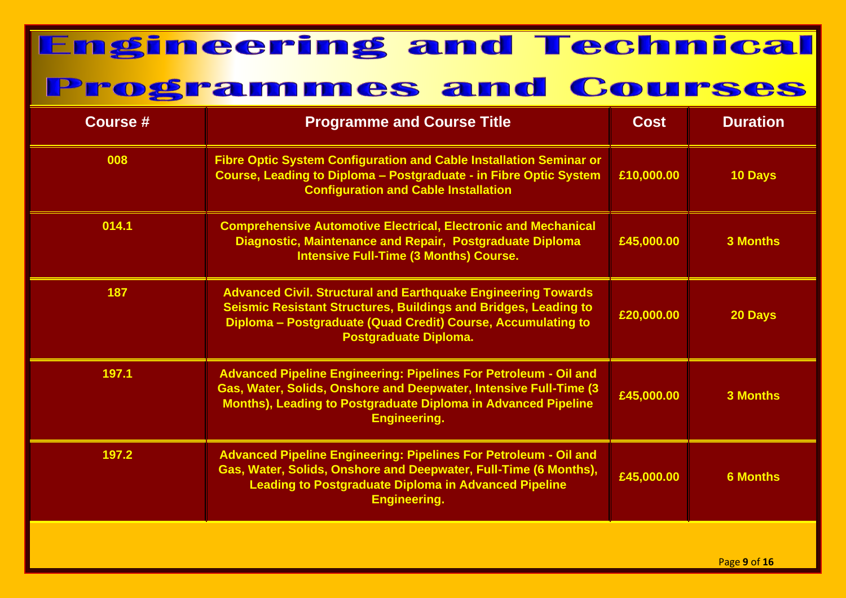| <b>Course #</b> | <b>Programme and Course Title</b>                                                                                                                                                                                                    | <b>Cost</b> | <b>Duration</b> |
|-----------------|--------------------------------------------------------------------------------------------------------------------------------------------------------------------------------------------------------------------------------------|-------------|-----------------|
| 008             | <b>Fibre Optic System Configuration and Cable Installation Seminar or</b><br>Course, Leading to Diploma - Postgraduate - in Fibre Optic System<br><b>Configuration and Cable Installation</b>                                        | £10,000.00  | 10 Days         |
| 014.1           | <b>Comprehensive Automotive Electrical, Electronic and Mechanical</b><br>Diagnostic, Maintenance and Repair, Postgraduate Diploma<br><b>Intensive Full-Time (3 Months) Course.</b>                                                   | £45,000.00  | <b>3 Months</b> |
| 187             | <b>Advanced Civil. Structural and Earthquake Engineering Towards</b><br>Seismic Resistant Structures, Buildings and Bridges, Leading to<br>Diploma - Postgraduate (Quad Credit) Course, Accumulating to<br>Postgraduate Diploma.     | £20,000.00  | 20 Days         |
| 197.1           | <b>Advanced Pipeline Engineering: Pipelines For Petroleum - Oil and</b><br>Gas, Water, Solids, Onshore and Deepwater, Intensive Full-Time (3<br>Months), Leading to Postgraduate Diploma in Advanced Pipeline<br><b>Engineering.</b> | £45,000.00  | <b>3 Months</b> |
| 197.2           | <b>Advanced Pipeline Engineering: Pipelines For Petroleum - Oil and</b><br>Gas, Water, Solids, Onshore and Deepwater, Full-Time (6 Months),<br><b>Leading to Postgraduate Diploma in Advanced Pipeline</b><br><b>Engineering.</b>    | £45,000.00  | <b>6 Months</b> |
|                 |                                                                                                                                                                                                                                      |             |                 |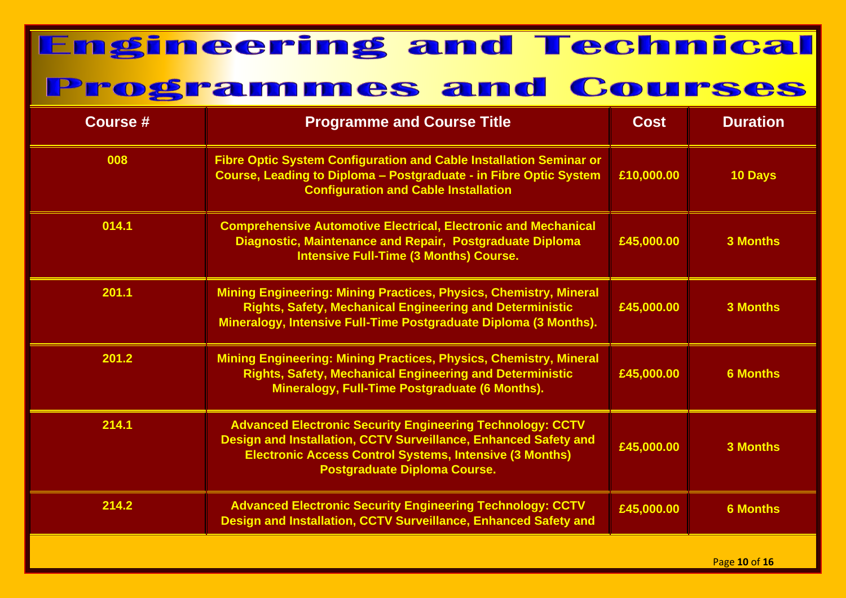| <b>Course #</b> | <b>Programme and Course Title</b>                                                                                                                                                                                                            | <b>Cost</b> | <b>Duration</b> |
|-----------------|----------------------------------------------------------------------------------------------------------------------------------------------------------------------------------------------------------------------------------------------|-------------|-----------------|
| 008             | Fibre Optic System Configuration and Cable Installation Seminar or<br>Course, Leading to Diploma - Postgraduate - in Fibre Optic System<br><b>Configuration and Cable Installation</b>                                                       | £10,000.00  | 10 Days         |
| 014.1           | <b>Comprehensive Automotive Electrical, Electronic and Mechanical</b><br>Diagnostic, Maintenance and Repair, Postgraduate Diploma<br><b>Intensive Full-Time (3 Months) Course.</b>                                                           | £45,000.00  | <b>3 Months</b> |
| 201.1           | <b>Mining Engineering: Mining Practices, Physics, Chemistry, Mineral</b><br><b>Rights, Safety, Mechanical Engineering and Deterministic</b><br>Mineralogy, Intensive Full-Time Postgraduate Diploma (3 Months).                              | £45,000.00  | <b>3 Months</b> |
| 201.2           | <b>Mining Engineering: Mining Practices, Physics, Chemistry, Mineral</b><br><b>Rights, Safety, Mechanical Engineering and Deterministic</b><br>Mineralogy, Full-Time Postgraduate (6 Months).                                                | £45,000.00  | <b>6 Months</b> |
| 214.1           | <b>Advanced Electronic Security Engineering Technology: CCTV</b><br>Design and Installation, CCTV Surveillance, Enhanced Safety and<br><b>Electronic Access Control Systems, Intensive (3 Months)</b><br><b>Postgraduate Diploma Course.</b> | £45,000.00  | <b>3 Months</b> |
| 214.2           | <b>Advanced Electronic Security Engineering Technology: CCTV</b><br>Design and Installation, CCTV Surveillance, Enhanced Safety and                                                                                                          | £45,000.00  | <b>6 Months</b> |
|                 |                                                                                                                                                                                                                                              |             | Page 10 of 16   |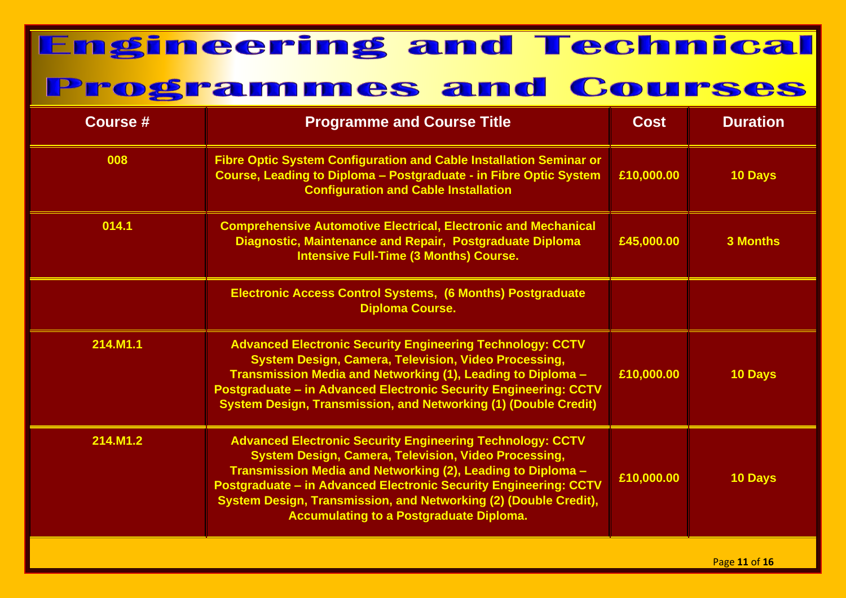| <b>Course #</b> | <b>Programme and Course Title</b>                                                                                                                                                                                                                                                                                                                                                        | Cost       | <b>Duration</b> |
|-----------------|------------------------------------------------------------------------------------------------------------------------------------------------------------------------------------------------------------------------------------------------------------------------------------------------------------------------------------------------------------------------------------------|------------|-----------------|
| 008             | <b>Fibre Optic System Configuration and Cable Installation Seminar or</b><br>Course, Leading to Diploma - Postgraduate - in Fibre Optic System<br><b>Configuration and Cable Installation</b>                                                                                                                                                                                            | £10,000.00 | 10 Days         |
| 014.1           | <b>Comprehensive Automotive Electrical, Electronic and Mechanical</b><br>Diagnostic, Maintenance and Repair, Postgraduate Diploma<br><b>Intensive Full-Time (3 Months) Course.</b>                                                                                                                                                                                                       | £45,000.00 | <b>3 Months</b> |
|                 | <b>Electronic Access Control Systems, (6 Months) Postgraduate</b><br><b>Diploma Course.</b>                                                                                                                                                                                                                                                                                              |            |                 |
| 214.M1.1        | <b>Advanced Electronic Security Engineering Technology: CCTV</b><br><b>System Design, Camera, Television, Video Processing,</b><br>Transmission Media and Networking (1), Leading to Diploma -<br>Postgraduate - in Advanced Electronic Security Engineering: CCTV<br><b>System Design, Transmission, and Networking (1) (Double Credit)</b>                                             | £10,000.00 | 10 Days         |
| 214.M1.2        | <b>Advanced Electronic Security Engineering Technology: CCTV</b><br><b>System Design, Camera, Television, Video Processing,</b><br>Transmission Media and Networking (2), Leading to Diploma -<br>Postgraduate - in Advanced Electronic Security Engineering: CCTV<br>System Design, Transmission, and Networking (2) (Double Credit),<br><b>Accumulating to a Postgraduate Diploma.</b> | £10,000.00 | <b>10 Days</b>  |
|                 |                                                                                                                                                                                                                                                                                                                                                                                          |            |                 |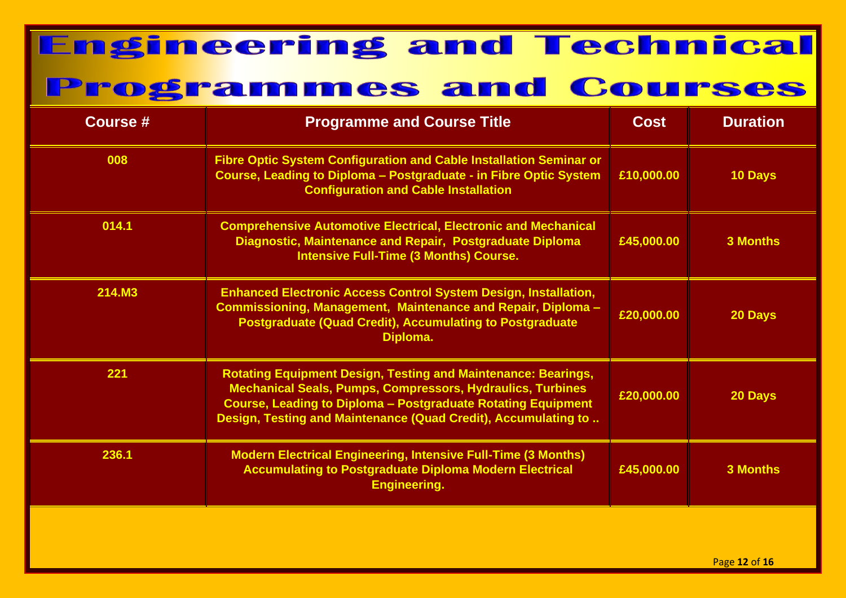| Course # | <b>Programme and Course Title</b>                                                                                                                                                                                                                                                  | <b>Cost</b> | <b>Duration</b> |
|----------|------------------------------------------------------------------------------------------------------------------------------------------------------------------------------------------------------------------------------------------------------------------------------------|-------------|-----------------|
| 008      | <b>Fibre Optic System Configuration and Cable Installation Seminar or</b><br>Course, Leading to Diploma - Postgraduate - in Fibre Optic System<br><b>Configuration and Cable Installation</b>                                                                                      | £10,000.00  | 10 Days         |
| 014.1    | <b>Comprehensive Automotive Electrical, Electronic and Mechanical</b><br>Diagnostic, Maintenance and Repair, Postgraduate Diploma<br><b>Intensive Full-Time (3 Months) Course.</b>                                                                                                 | £45,000.00  | <b>3 Months</b> |
| 214.M3   | <b>Enhanced Electronic Access Control System Design, Installation,</b><br>Commissioning, Management, Maintenance and Repair, Diploma -<br><b>Postgraduate (Quad Credit), Accumulating to Postgraduate</b><br>Diploma.                                                              | £20,000.00  | 20 Days         |
| 221      | <b>Rotating Equipment Design, Testing and Maintenance: Bearings,</b><br><b>Mechanical Seals, Pumps, Compressors, Hydraulics, Turbines</b><br><b>Course, Leading to Diploma - Postgraduate Rotating Equipment</b><br>Design, Testing and Maintenance (Quad Credit), Accumulating to | £20,000.00  | 20 Days         |
| 236.1    | <b>Modern Electrical Engineering, Intensive Full-Time (3 Months)</b><br><b>Accumulating to Postgraduate Diploma Modern Electrical</b><br><b>Engineering.</b>                                                                                                                       | £45,000.00  | <b>3 Months</b> |
|          |                                                                                                                                                                                                                                                                                    |             |                 |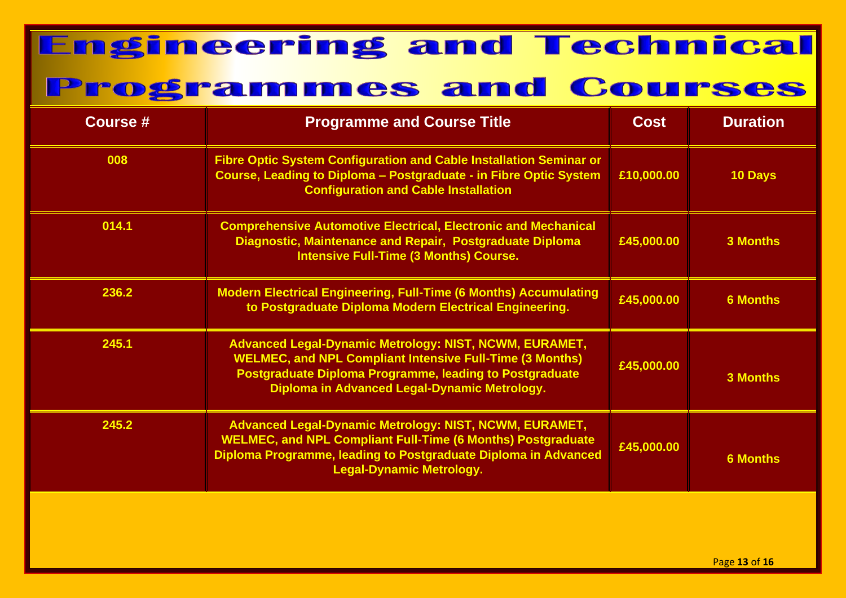| <b>Course #</b> | <b>Programme and Course Title</b>                                                                                                                                                                                                    | <b>Cost</b> | <b>Duration</b> |
|-----------------|--------------------------------------------------------------------------------------------------------------------------------------------------------------------------------------------------------------------------------------|-------------|-----------------|
| 008             | Fibre Optic System Configuration and Cable Installation Seminar or<br>Course, Leading to Diploma - Postgraduate - in Fibre Optic System<br><b>Configuration and Cable Installation</b>                                               | £10,000.00  | 10 Days         |
| 014.1           | <b>Comprehensive Automotive Electrical, Electronic and Mechanical</b><br>Diagnostic, Maintenance and Repair, Postgraduate Diploma<br><b>Intensive Full-Time (3 Months) Course.</b>                                                   | £45,000.00  | <b>3 Months</b> |
| 236.2           | <b>Modern Electrical Engineering, Full-Time (6 Months) Accumulating</b><br>to Postgraduate Diploma Modern Electrical Engineering.                                                                                                    | £45,000.00  | <b>6 Months</b> |
| 245.1           | Advanced Legal-Dynamic Metrology: NIST, NCWM, EURAMET,<br><b>WELMEC, and NPL Compliant Intensive Full-Time (3 Months)</b><br>Postgraduate Diploma Programme, leading to Postgraduate<br>Diploma in Advanced Legal-Dynamic Metrology. | £45,000.00  | <b>3 Months</b> |
| 245.2           | Advanced Legal-Dynamic Metrology: NIST, NCWM, EURAMET,<br><b>WELMEC, and NPL Compliant Full-Time (6 Months) Postgraduate</b><br>Diploma Programme, leading to Postgraduate Diploma in Advanced<br><b>Legal-Dynamic Metrology.</b>    | £45,000.00  | <b>6 Months</b> |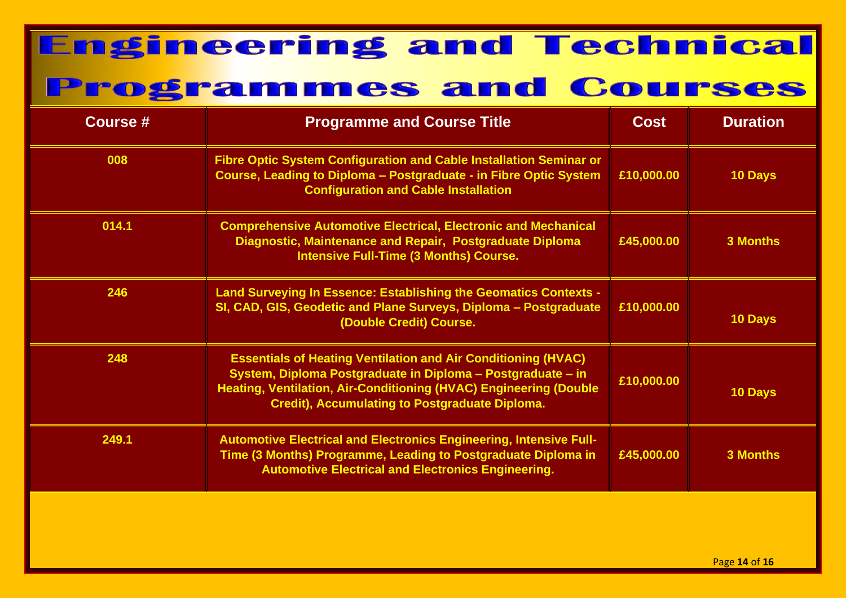| <b>Course #</b> | <b>Programme and Course Title</b>                                                                                                                                                                                                                                 | <b>Cost</b> | <b>Duration</b> |
|-----------------|-------------------------------------------------------------------------------------------------------------------------------------------------------------------------------------------------------------------------------------------------------------------|-------------|-----------------|
| 008             | <b>Fibre Optic System Configuration and Cable Installation Seminar or</b><br>Course, Leading to Diploma - Postgraduate - in Fibre Optic System<br><b>Configuration and Cable Installation</b>                                                                     | £10,000.00  | 10 Days         |
| 014.1           | <b>Comprehensive Automotive Electrical, Electronic and Mechanical</b><br>Diagnostic, Maintenance and Repair, Postgraduate Diploma<br><b>Intensive Full-Time (3 Months) Course.</b>                                                                                | £45,000.00  | <b>3 Months</b> |
| 246             | Land Surveying In Essence: Establishing the Geomatics Contexts -<br>SI, CAD, GIS, Geodetic and Plane Surveys, Diploma - Postgraduate<br>(Double Credit) Course.                                                                                                   | £10,000.00  | 10 Days         |
| 248             | <b>Essentials of Heating Ventilation and Air Conditioning (HVAC)</b><br>System, Diploma Postgraduate in Diploma - Postgraduate - in<br>Heating, Ventilation, Air-Conditioning (HVAC) Engineering (Double<br><b>Credit), Accumulating to Postgraduate Diploma.</b> | £10,000.00  | 10 Days         |
| 249.1           | <b>Automotive Electrical and Electronics Engineering, Intensive Full-</b><br>Time (3 Months) Programme, Leading to Postgraduate Diploma in<br><b>Automotive Electrical and Electronics Engineering.</b>                                                           | £45,000.00  | <b>3 Months</b> |
|                 |                                                                                                                                                                                                                                                                   |             |                 |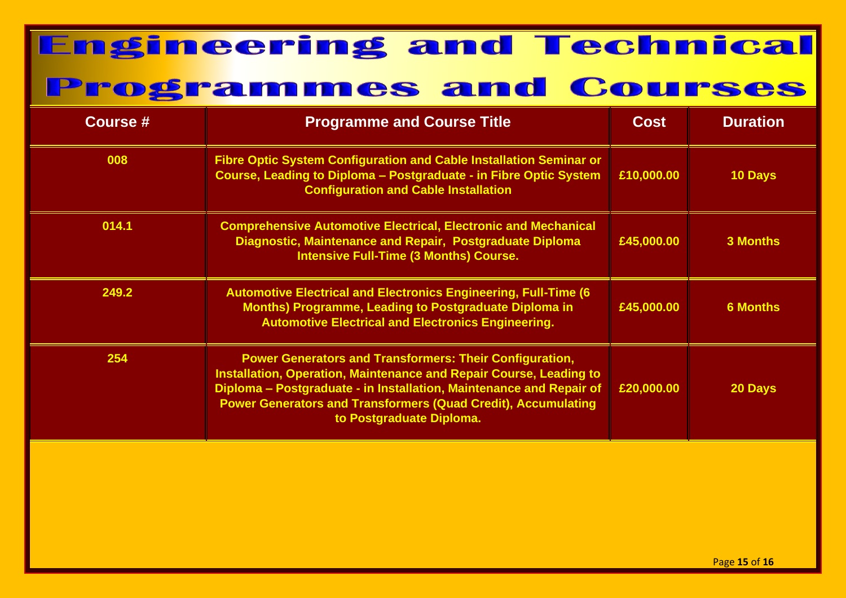| Course # | <b>Programme and Course Title</b>                                                                                                                                                                                                                                                                               | <b>Cost</b> | <b>Duration</b> |
|----------|-----------------------------------------------------------------------------------------------------------------------------------------------------------------------------------------------------------------------------------------------------------------------------------------------------------------|-------------|-----------------|
| 008      | Fibre Optic System Configuration and Cable Installation Seminar or<br>Course, Leading to Diploma - Postgraduate - in Fibre Optic System<br><b>Configuration and Cable Installation</b>                                                                                                                          | £10,000.00  | <b>10 Days</b>  |
| 014.1    | <b>Comprehensive Automotive Electrical, Electronic and Mechanical</b><br>Diagnostic, Maintenance and Repair, Postgraduate Diploma<br><b>Intensive Full-Time (3 Months) Course.</b>                                                                                                                              | £45,000.00  | <b>3 Months</b> |
| 249.2    | <b>Automotive Electrical and Electronics Engineering, Full-Time (6)</b><br><b>Months) Programme, Leading to Postgraduate Diploma in</b><br><b>Automotive Electrical and Electronics Engineering.</b>                                                                                                            | £45,000.00  | <b>6 Months</b> |
| 254      | <b>Power Generators and Transformers: Their Configuration,</b><br>Installation, Operation, Maintenance and Repair Course, Leading to<br>Diploma - Postgraduate - in Installation, Maintenance and Repair of<br><b>Power Generators and Transformers (Quad Credit), Accumulating</b><br>to Postgraduate Diploma. | £20,000.00  | 20 Days         |